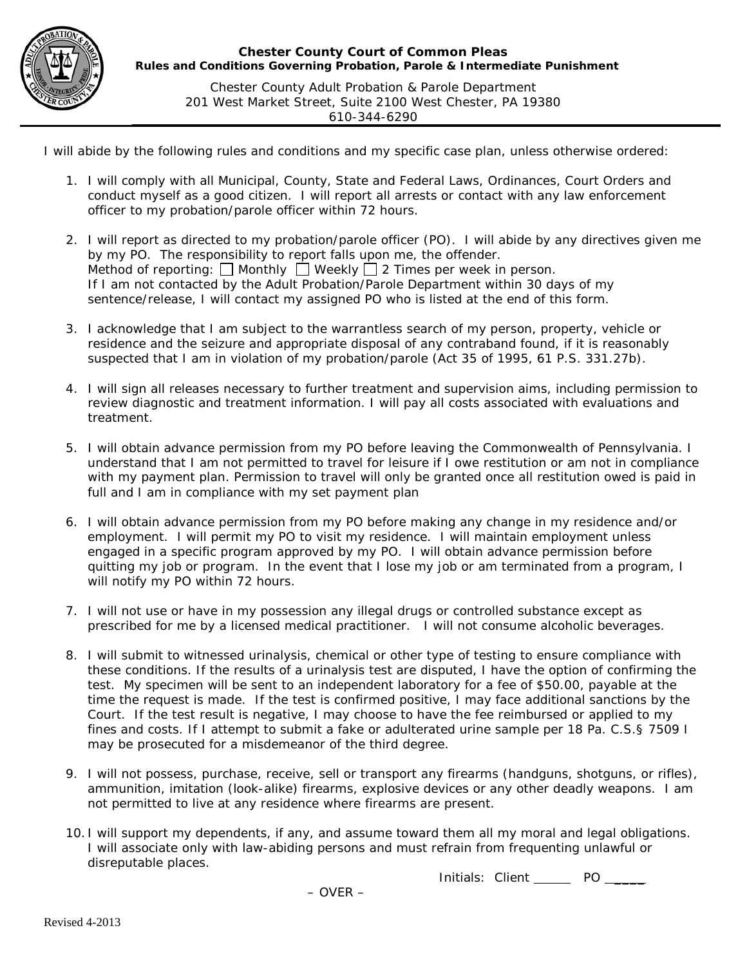

*Chester County Adult Probation & Parole Department 201 West Market Street, Suite 2100 West Chester, PA 19380 610-344-6290*

I will abide by the following rules and conditions and my specific case plan, unless otherwise ordered:

- 1. I will comply with all Municipal, County, State and Federal Laws, Ordinances, Court Orders and conduct myself as a good citizen. I will report all arrests or contact with any law enforcement officer to my probation/parole officer within 72 hours.
- 2. I will report as directed to my probation/parole officer (PO). I will abide by any directives given me by my PO. The responsibility to report falls upon me, the offender. Method of reporting:  $\Box$  Monthly  $\Box$  Weekly  $\Box$  2 Times per week in person. If I am not contacted by the Adult Probation/Parole Department within 30 days of my sentence/release, I will contact my assigned PO who is listed at the end of this form.
- 3. I acknowledge that I am subject to the warrantless search of my person, property, vehicle or residence and the seizure and appropriate disposal of any contraband found, if it is reasonably suspected that I am in violation of my probation/parole (Act 35 of 1995, 61 P.S. 331.27b).
- 4. I will sign all releases necessary to further treatment and supervision aims, including permission to review diagnostic and treatment information. I will pay all costs associated with evaluations and treatment.
- 5. I will obtain advance permission from my PO before leaving the Commonwealth of Pennsylvania. I understand that I am not permitted to travel for leisure if I owe restitution or am not in compliance with my payment plan. Permission to travel will only be granted once all restitution owed is paid in full and I am in compliance with my set payment plan
- 6. I will obtain advance permission from my PO before making any change in my residence and/or employment. I will permit my PO to visit my residence. I will maintain employment unless engaged in a specific program approved by my PO. I will obtain advance permission before quitting my job or program. In the event that I lose my job or am terminated from a program, I will notify my PO within 72 hours.
- 7. I will not use or have in my possession any illegal drugs or controlled substance except as prescribed for me by a licensed medical practitioner. I will not consume alcoholic beverages.
- 8. I will submit to witnessed urinalysis, chemical or other type of testing to ensure compliance with these conditions. If the results of a urinalysis test are disputed, I have the option of confirming the test. My specimen will be sent to an independent laboratory for a fee of \$50.00, payable at the time the request is made. If the test is confirmed positive, I may face additional sanctions by the Court. If the test result is negative, I may choose to have the fee reimbursed or applied to my fines and costs. If I attempt to submit a fake or adulterated urine sample per 18 Pa. C.S.§ 7509 I may be prosecuted for a misdemeanor of the third degree.
- 9. I will not possess, purchase, receive, sell or transport any firearms (handguns, shotguns, or rifles), ammunition, imitation (look-alike) firearms, explosive devices or any other deadly weapons. I am not permitted to live at any residence where firearms are present.
- 10. I will support my dependents, if any, and assume toward them all my moral and legal obligations. I will associate only with law-abiding persons and must refrain from frequenting unlawful or disreputable places.

Initials: Client \_\_\_\_\_\_ PO \_\_\_\_\_

– OVER –